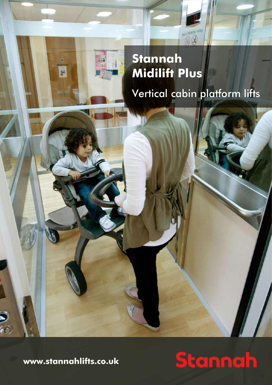

# **Midilift Plus** Vertical cabin platform lifts

**www.stannahlifts.co.uk**

 $\widehat{\mathbf{C}}$ 

 $\mathbf{a}$ 

画

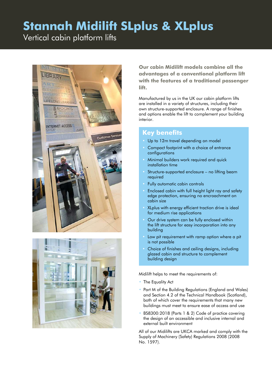Vertical cabin platform lifts





**Our cabin Midilift models combine all the advantages of a conventional platform lift with the features of a traditional passenger lift.** 

Manufactured by us in the UK our cabin platform lifts are installed in a variety of structures, including their own structure-supported enclosure. A range of finishes and options enable the lift to complement your building interior.

### **Key benefits**

- Up to 12m travel depending on model
- Compact footprint with a choice of entrance configurations
- Minimal builders work required and quick installation time
- Structure-supported enclosure no lifting beam required
- Fully automatic cabin controls
- Enclosed cabin with full height light ray and safety edge protection, ensuring no encroachment on cabin size
- XLplus with energy efficient traction drive is ideal for medium rise applications
- Our drive system can be fully enclosed within the lift structure for easy incorporation into any building
- Low pit requirement with ramp option where a pit is not possible
- Choice of finishes and ceiling designs, including glazed cabin and structure to complement building design

Midilift helps to meet the requirements of:

- The Equality Act
- Part M of the Building Regulations (England and Wales) and Section 4.2 of the Technical Handbook (Scotland), both of which cover the requirements that many new buildings must meet to ensure ease of access and use
- BS8300:2018 (Parts 1 & 2) Code of practice covering the design of an accessible and inclusive internal and external built environment

All of our Midilifts are UKCA marked and comply with the Supply of Machinery (Safety) Regulations 2008 (2008 No. 1597).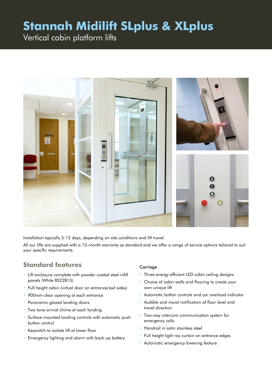Vertical cabin platform lifts



Installation typically 5-12 days, depending on site conditions and lift travel.

All our lifts are supplied with a 12-month warranty as standard and we offer a range of service options tailored to suit your specific requirements.

### **Standard features**

- Lift enclosure complete with powder coated steel infill panels (White BS22B15)
- Full height cabin (virtual door on entrance/exit sides)
- 900mm clear opening at each entrance
- Panoramic glazed landing doors
- Two tone arrival chime at each landing
- Surface mounted landing controls with automatic push button control
- Keyswitch to isolate lift at lower floor
- Emergency lighting and alarm with back-up battery

#### **Carriage**

- Three energy efficient LED cabin ceiling designs
- Choice of cabin walls and flooring to create your own unique lift
- Automatic button controls and car overload indicator
- Audible and visual notification of floor level and travel direction
- Two-way intercom communication system for emergency calls
- Handrail in satin stainless steel
- Full height light ray curtain on entrance edges
- Automatic emergency lowering feature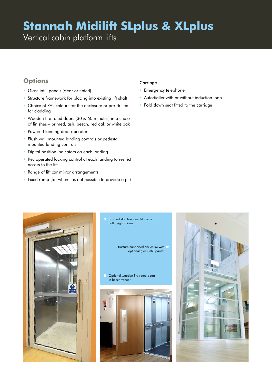Vertical cabin platform lifts

### **Options**

- Glass infill panels (clear or tinted)
- Structure framework for placing into existing lift shaft
- Choice of RAL colours for the enclosure or pre-drilled for cladding
- Wooden fire rated doors (30 & 60 minutes) in a choice of finishes – primed, ash, beech, red oak or white oak
- Powered landing door operator
- Flush wall mounted landing controls or pedestal mounted landing controls
- Digital position indicators on each landing
- Key operated locking control at each landing to restrict access to the lift
- Range of lift car mirror arrangements
- Fixed ramp (for when it is not possible to provide a pit)

#### **Carriage**

- Emergency telephone
- Autodialler with or without induction loop
- Fold down seat fitted to the carriage



Brushed stainless steel lift car and half height mirror

> Structure-supported enclosure with  $\ominus$ optional glass infill panels

**C** Optional wooden fire rated doors in beech veneer



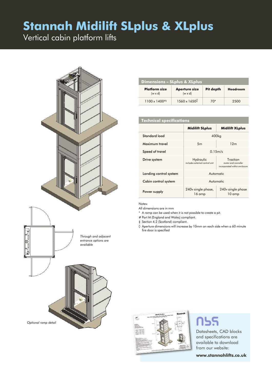Vertical cabin platform lifts



| <b>Dimensions - SLplus &amp; XLplus</b> |                                        |           |          |  |
|-----------------------------------------|----------------------------------------|-----------|----------|--|
| <b>Platform size</b><br>$(w \times d)$  | <b>Aperture size</b><br>$(w \times d)$ | Pit depth | Headroom |  |
| $1100 \times 1400^{+4}$                 | $1560 \times 1650^{\circ}$             | 70*       | 2500     |  |

#### **Technical specifications**

|                        | <b>Midilift SLplus</b>                      | <b>Midilift XLplus</b>                                           |  |
|------------------------|---------------------------------------------|------------------------------------------------------------------|--|
| Standard load          | 400 <sub>kg</sub>                           |                                                                  |  |
| Maximum travel         | 5m                                          | 12 <sub>m</sub>                                                  |  |
| Speed of travel        | 0.15m/s                                     |                                                                  |  |
| Drive system           | Hydraulic<br>includes external control unit | Traction<br>motor and conroller<br>incorporated within enclosure |  |
| Landing control system | Automatic                                   |                                                                  |  |
| Cabin control system   | Automatic                                   |                                                                  |  |
| Power supply           | 240 v single phase,<br>16 amp               | 240v single phase<br>$10 \text{ amp}$                            |  |

#### Notes:

All dimensions are in mm

- \* A ramp can be used when it is not possible to create a pit.
- # Part M (England and Wales) compliant.

‡ Section 4.2 (Scotland) compliant.

◊ Aperture dimensions will increase by 10mm on each side when a 60 minute fire door is specified



## **nss**

Datasheets, CAD blocks and specifications are available to download from our website:

**www.stannahlifts.co.uk**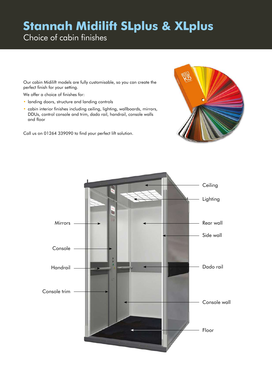Choice of cabin finishes

Our cabin Midilift models are fully customisable, so you can create the perfect finish for your setting.

We offer a choice of finishes for:

- landing doors, structure and landing controls
- cabin interior finishes including ceiling, lighting, wallboards, mirrors, DDUs, control console and trim, dado rail, handrail, console walls and floor

Call us on 01264 339090 to find your perfect lift solution.



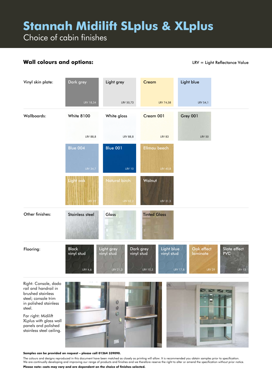Choice of cabin finishes

### **Wall colours and options:**

LRV = Light Reflectance Value



#### **Samples can be provided on request – please call 01264 339090.**

The colours and designs reproduced in this document have been matched as closely as printing will allow. It is recommended you obtain samples prior to specification. We are continually developing and improving our range of products and finishes and we therefore reserve the right to alter or amend the specification without prior notice. **Please note: costs may vary and are dependent on the choice of finishes selected.**